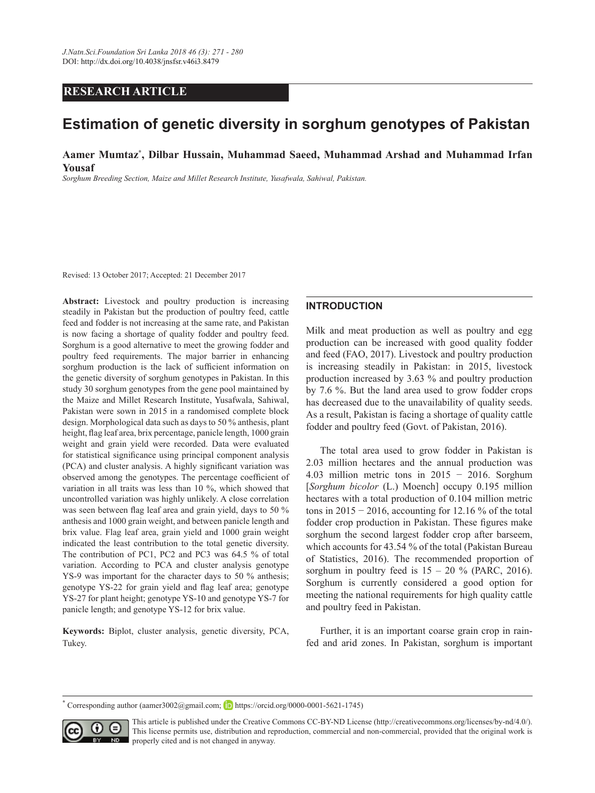## **RESEARCH ARTICLE**

# **Estimation of genetic diversity in sorghum genotypes of Pakistan**

**Aamer Mumtaz\* , Dilbar Hussain, Muhammad Saeed, Muhammad Arshad and Muhammad Irfan Yousaf**

*Sorghum Breeding Section, Maize and Millet Research Institute, Yusafwala, Sahiwal, Pakistan.*

Revised: 13 October 2017; Accepted: 21 December 2017

**Abstract:** Livestock and poultry production is increasing steadily in Pakistan but the production of poultry feed, cattle feed and fodder is not increasing at the same rate, and Pakistan is now facing a shortage of quality fodder and poultry feed. Sorghum is a good alternative to meet the growing fodder and poultry feed requirements. The major barrier in enhancing sorghum production is the lack of sufficient information on the genetic diversity of sorghum genotypes in Pakistan. In this study 30 sorghum genotypes from the gene pool maintained by the Maize and Millet Research Institute, Yusafwala, Sahiwal, Pakistan were sown in 2015 in a randomised complete block design. Morphological data such as days to 50 % anthesis, plant height, flag leaf area, brix percentage, panicle length, 1000 grain weight and grain yield were recorded. Data were evaluated for statistical significance using principal component analysis (PCA) and cluster analysis. A highly significant variation was observed among the genotypes. The percentage coefficient of variation in all traits was less than 10 %, which showed that uncontrolled variation was highly unlikely. A close correlation was seen between flag leaf area and grain yield, days to 50 % anthesis and 1000 grain weight, and between panicle length and brix value. Flag leaf area, grain yield and 1000 grain weight indicated the least contribution to the total genetic diversity. The contribution of PC1, PC2 and PC3 was 64.5 % of total variation. According to PCA and cluster analysis genotype YS-9 was important for the character days to 50 % anthesis; genotype YS-22 for grain yield and flag leaf area; genotype YS-27 for plant height; genotype YS-10 and genotype YS-7 for panicle length; and genotype YS-12 for brix value.

**Keywords:** Biplot, cluster analysis, genetic diversity, PCA, Tukey.

#### **INTRODUCTION**

Milk and meat production as well as poultry and egg production can be increased with good quality fodder and feed (FAO, 2017). Livestock and poultry production is increasing steadily in Pakistan: in 2015, livestock production increased by 3.63 % and poultry production by 7.6 %. But the land area used to grow fodder crops has decreased due to the unavailability of quality seeds. As a result, Pakistan is facing a shortage of quality cattle fodder and poultry feed (Govt. of Pakistan, 2016).

The total area used to grow fodder in Pakistan is 2.03 million hectares and the annual production was 4.03 million metric tons in 2015 − 2016. Sorghum [*Sorghum bicolor* (L.) Moench] occupy 0.195 million hectares with a total production of 0.104 million metric tons in  $2015 - 2016$ , accounting for 12.16 % of the total fodder crop production in Pakistan. These figures make sorghum the second largest fodder crop after barseem, which accounts for 43.54 % of the total (Pakistan Bureau of Statistics, 2016). The recommended proportion of sorghum in poultry feed is  $15 - 20$  % (PARC, 2016). Sorghum is currently considered a good option for meeting the national requirements for high quality cattle and poultry feed in Pakistan.

Further, it is an important coarse grain crop in rainfed and arid zones. In Pakistan, sorghum is important

**<sup>\*</sup>** Corresponding author (aamer3002@gmail.com; **iD** https://orcid.org/0000-0001-5621-1745)



This article is published under the Creative Commons CC-BY-ND License (http://creativecommons.org/licenses/by-nd/4.0/). This license permits use, distribution and reproduction, commercial and non-commercial, provided that the original work is properly cited and is not changed in anyway.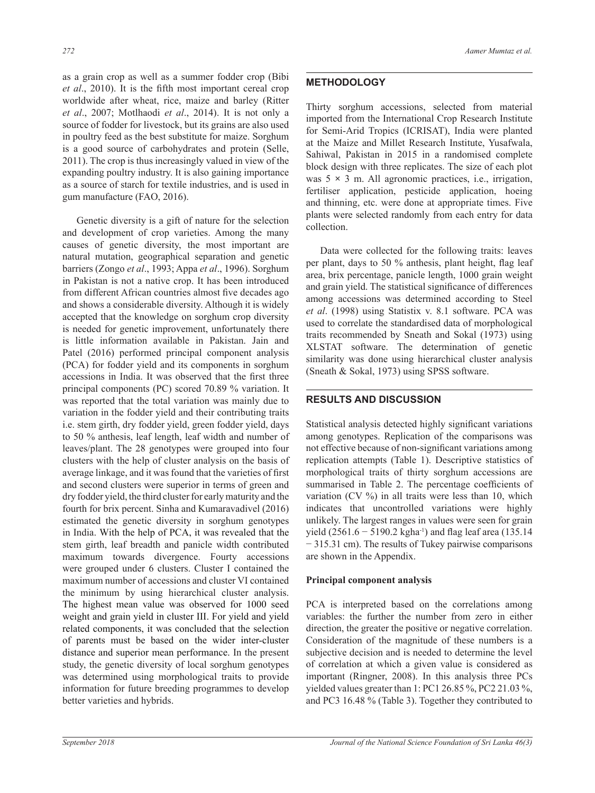as a grain crop as well as a summer fodder crop (Bibi *et al*., 2010). It is the fifth most important cereal crop worldwide after wheat, rice, maize and barley (Ritter *et al*., 2007; Motlhaodi *et al*., 2014). It is not only a source of fodder for livestock, but its grains are also used in poultry feed as the best substitute for maize. Sorghum is a good source of carbohydrates and protein (Selle, 2011). The crop is thus increasingly valued in view of the expanding poultry industry. It is also gaining importance as a source of starch for textile industries, and is used in gum manufacture (FAO, 2016).

Genetic diversity is a gift of nature for the selection and development of crop varieties. Among the many causes of genetic diversity, the most important are natural mutation, geographical separation and genetic barriers (Zongo *et al*., 1993; Appa *et al*., 1996). Sorghum in Pakistan is not a native crop. It has been introduced from different African countries almost five decades ago and shows a considerable diversity. Although it is widely accepted that the knowledge on sorghum crop diversity is needed for genetic improvement, unfortunately there is little information available in Pakistan. Jain and Patel (2016) performed principal component analysis (PCA) for fodder yield and its components in sorghum accessions in India. It was observed that the first three principal components (PC) scored 70.89 % variation. It was reported that the total variation was mainly due to variation in the fodder yield and their contributing traits i.e. stem girth, dry fodder yield, green fodder yield, days to 50 % anthesis, leaf length, leaf width and number of leaves/plant. The 28 genotypes were grouped into four clusters with the help of cluster analysis on the basis of average linkage, and it was found that the varieties of first and second clusters were superior in terms of green and dry fodder yield, the third cluster for early maturity and the fourth for brix percent. Sinha and Kumaravadivel (2016) estimated the genetic diversity in sorghum genotypes in India. With the help of PCA, it was revealed that the stem girth, leaf breadth and panicle width contributed maximum towards divergence. Fourty accessions were grouped under 6 clusters. Cluster I contained the maximum number of accessions and cluster VI contained the minimum by using hierarchical cluster analysis. The highest mean value was observed for 1000 seed weight and grain yield in cluster III. For yield and yield related components, it was concluded that the selection of parents must be based on the wider inter-cluster distance and superior mean performance. In the present study, the genetic diversity of local sorghum genotypes was determined using morphological traits to provide information for future breeding programmes to develop better varieties and hybrids.

#### **METHODOLOGY**

Thirty sorghum accessions, selected from material imported from the International Crop Research Institute for Semi-Arid Tropics (ICRISAT), India were planted at the Maize and Millet Research Institute, Yusafwala, Sahiwal, Pakistan in 2015 in a randomised complete block design with three replicates. The size of each plot was  $5 \times 3$  m. All agronomic practices, i.e., irrigation, fertiliser application, pesticide application, hoeing and thinning, etc. were done at appropriate times. Five plants were selected randomly from each entry for data collection.

Data were collected for the following traits: leaves per plant, days to 50 % anthesis, plant height, flag leaf area, brix percentage, panicle length, 1000 grain weight and grain yield. The statistical significance of differences among accessions was determined according to Steel *et al*. (1998) using Statistix v. 8.1 software. PCA was used to correlate the standardised data of morphological traits recommended by Sneath and Sokal (1973) using XLSTAT software. The determination of genetic similarity was done using hierarchical cluster analysis (Sneath & Sokal, 1973) using SPSS software.

#### **RESULTS AND DISCUSSION**

Statistical analysis detected highly significant variations among genotypes. Replication of the comparisons was not effective because of non-significant variations among replication attempts (Table 1). Descriptive statistics of morphological traits of thirty sorghum accessions are summarised in Table 2. The percentage coefficients of variation (CV %) in all traits were less than 10, which indicates that uncontrolled variations were highly unlikely. The largest ranges in values were seen for grain yield (2561.6 – 5190.2 kgha<sup>-1</sup>) and flag leaf area (135.14 − 315.31 cm). The results of Tukey pairwise comparisons are shown in the Appendix.

#### **Principal component analysis**

PCA is interpreted based on the correlations among variables: the further the number from zero in either direction, the greater the positive or negative correlation. Consideration of the magnitude of these numbers is a subjective decision and is needed to determine the level of correlation at which a given value is considered as important (Ringner, 2008). In this analysis three PCs yielded values greater than 1: PC1 26.85 %, PC2 21.03 %, and PC3 16.48 % (Table 3). Together they contributed to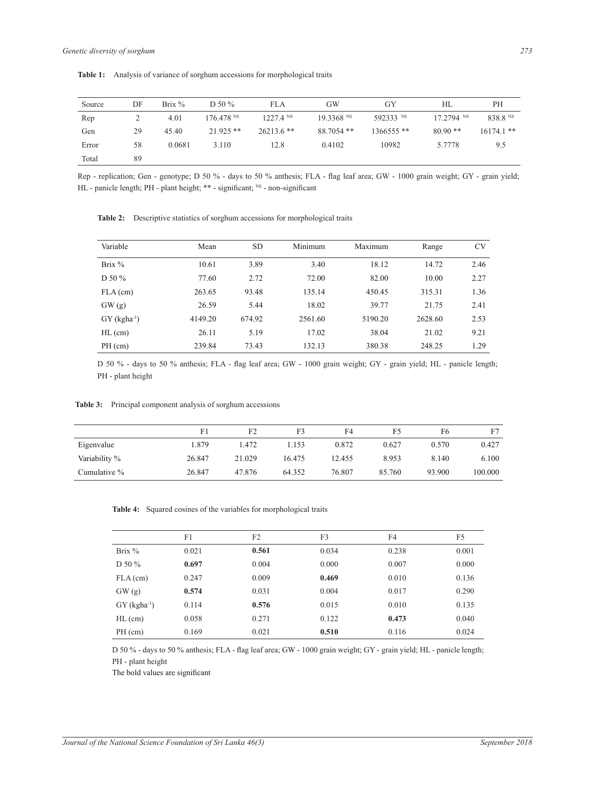Total 89

| Source | DF | Brix $%$ | D 50 $%$    | FLA          | GW                    | GY           | HL           | <b>PH</b>    |
|--------|----|----------|-------------|--------------|-----------------------|--------------|--------------|--------------|
| Rep    |    | 4.01     | 176.478 N   | $1227.4$ NS  | 19.3368 <sup>NS</sup> | 592333 NS    | $17.2794$ NS | 838.8 NS     |
| Gen    | 29 | 45.40    | $21.925$ ** | $26213.6$ ** | 88.7054 **            | $1366555$ ** | $80.90**$    | $16174.1$ ** |

**Table 1:** Analysis of variance of sorghum accessions for morphological traits

Rep - replication; Gen - genotype; D 50 % - days to 50 % anthesis; FLA - flag leaf area; GW - 1000 grain weight; GY - grain yield; HL - panicle length; PH - plant height; \*\* - significant; NS - non-significant

Error 58 0.0681 3.110 12.8 0.4102 10982 5.7778 9.5

Variable Mean SD Minimum Maximum Range CV Brix % 10.61 3.89 3.40 18.12 14.72 2.46 D 50 % 77.60 2.72 72.00 82.00 10.00 2.27 FLA (cm) 263.65 93.48 135.14 450.45 315.31 1.36 GW (g) 26.59 5.44 18.02 39.77 21.75 2.41

**Table 2:** Descriptive statistics of sorghum accessions for morphological traits

D 50 % - days to 50 % anthesis; FLA - flag leaf area; GW - 1000 grain weight; GY - grain yield; HL - panicle length; PH - plant height

GY (kgha<sup>-1</sup>) 4149.20 674.92 2561.60 5190.20 2628.60 2.53 HL (cm) 26.11 5.19 17.02 38.04 21.02 9.21 PH (cm) 239.84 73.43 132.13 380.38 248.25 1.29

**Table 3:** Principal component analysis of sorghum accessions

|               | F1     | F <sub>2</sub> | F3     | F4     | F5     | F6     |         |
|---------------|--------|----------------|--------|--------|--------|--------|---------|
| Eigenvalue    | .879   | 1.472          | 1.153  | 0.872  | 0.627  | 0.570  | 0.427   |
| Variability % | 26.847 | 21.029         | 16.475 | 12.455 | 8.953  | 8.140  | 6.100   |
| Cumulative %  | 26.847 | 47.876         | 64.352 | 76.807 | 85.760 | 93.900 | 100,000 |

**Table 4:** Squared cosines of the variables for morphological traits

|                            | F1    | F <sub>2</sub> | F3    | F4    | F5    |
|----------------------------|-------|----------------|-------|-------|-------|
| Brix $%$                   | 0.021 | 0.561          | 0.034 | 0.238 | 0.001 |
| D 50 %                     | 0.697 | 0.004          | 0.000 | 0.007 | 0.000 |
| $FLA$ (cm)                 | 0.247 | 0.009          | 0.469 | 0.010 | 0.136 |
| GW(g)                      | 0.574 | 0.031          | 0.004 | 0.017 | 0.290 |
| $GY$ (kgha <sup>-1</sup> ) | 0.114 | 0.576          | 0.015 | 0.010 | 0.135 |
| $HL$ (cm)                  | 0.058 | 0.271          | 0.122 | 0.473 | 0.040 |
| $PH$ (cm)                  | 0.169 | 0.021          | 0.510 | 0.116 | 0.024 |

D 50 % - days to 50 % anthesis; FLA - flag leaf area; GW - 1000 grain weight; GY - grain yield; HL - panicle length; PH - plant height

The bold values are significant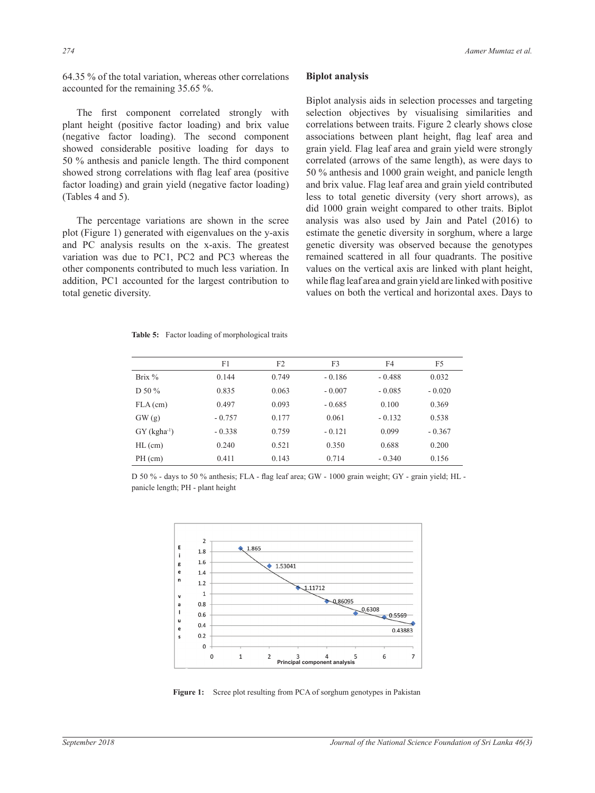64.35 % of the total variation, whereas other correlations accounted for the remaining 35.65 %.

The first component correlated strongly with plant height (positive factor loading) and brix value (negative factor loading). The second component showed considerable positive loading for days to 50 % anthesis and panicle length. The third component showed strong correlations with flag leaf area (positive factor loading) and grain yield (negative factor loading) (Tables 4 and 5).

The percentage variations are shown in the scree plot (Figure 1) generated with eigenvalues on the y-axis and PC analysis results on the x-axis. The greatest variation was due to PC1, PC2 and PC3 whereas the other components contributed to much less variation. In addition, PC1 accounted for the largest contribution to total genetic diversity.

#### **Biplot analysis**

Biplot analysis aids in selection processes and targeting selection objectives by visualising similarities and correlations between traits. Figure 2 clearly shows close associations between plant height, flag leaf area and grain yield. Flag leaf area and grain yield were strongly correlated (arrows of the same length), as were days to 50 % anthesis and 1000 grain weight, and panicle length and brix value. Flag leaf area and grain yield contributed less to total genetic diversity (very short arrows), as did 1000 grain weight compared to other traits. Biplot analysis was also used by Jain and Patel (2016) to estimate the genetic diversity in sorghum, where a large genetic diversity was observed because the genotypes remained scattered in all four quadrants. The positive values on the vertical axis are linked with plant height, while flag leaf area and grain yield are linked with positive values on both the vertical and horizontal axes. Days to

| Table 5: Factor loading of morphological traits |  |  |  |  |  |  |
|-------------------------------------------------|--|--|--|--|--|--|
|-------------------------------------------------|--|--|--|--|--|--|

|                            | F1       | F <sub>2</sub> | F3       | F4       | F5       |
|----------------------------|----------|----------------|----------|----------|----------|
| Brix $%$                   | 0.144    | 0.749          | $-0.186$ | $-0.488$ | 0.032    |
| D 50 $%$                   | 0.835    | 0.063          | $-0.007$ | $-0.085$ | $-0.020$ |
| $FLA$ (cm)                 | 0.497    | 0.093          | $-0.685$ | 0.100    | 0.369    |
| GW(g)                      | $-0.757$ | 0.177          | 0.061    | $-0.132$ | 0.538    |
| $GY$ (kgha <sup>-1</sup> ) | $-0.338$ | 0.759          | $-0.121$ | 0.099    | $-0.367$ |
| $HL$ (cm)                  | 0.240    | 0.521          | 0.350    | 0.688    | 0.200    |
| $PH$ (cm)                  | 0.411    | 0.143          | 0.714    | $-0.340$ | 0.156    |

D 50 % - days to 50 % anthesis; FLA - flag leaf area; GW - 1000 grain weight; GY - grain yield; HL panicle length; PH - plant height



Figure 1: Scree plot resulting from PCA of sorghum genotypes in Pakistan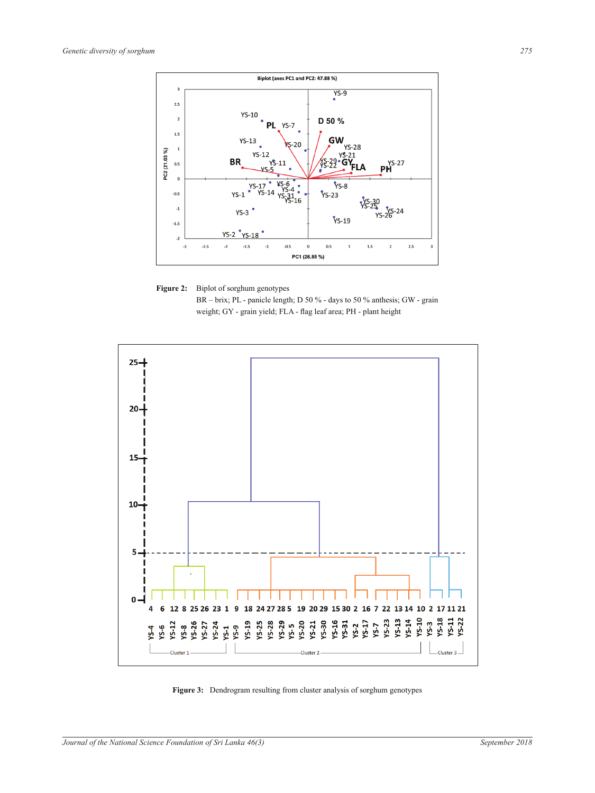





**Figure 3:** Dendrogram resulting from cluster analysis of sorghum genotypes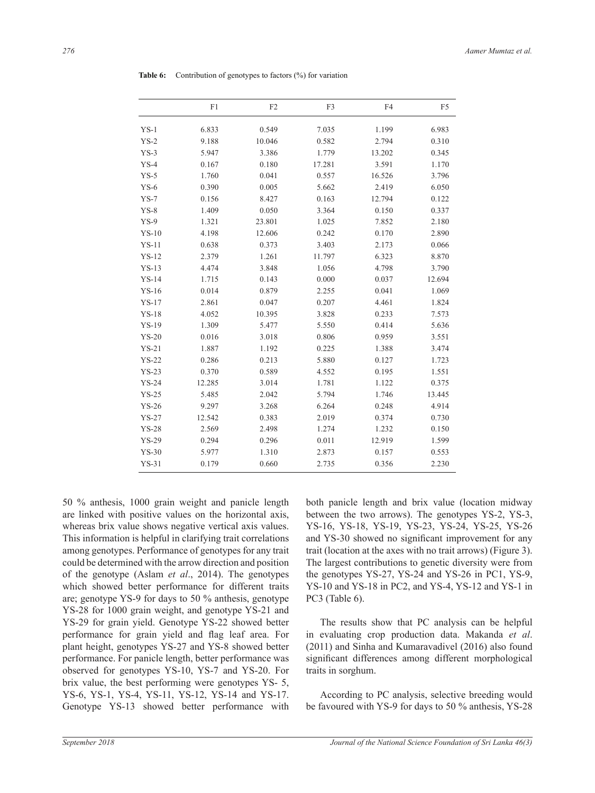|         | F1     | F2     | F3     | F <sub>4</sub> | F <sub>5</sub> |
|---------|--------|--------|--------|----------------|----------------|
| $YS-1$  | 6.833  | 0.549  | 7.035  | 1.199          | 6.983          |
| $YS-2$  | 9.188  | 10.046 | 0.582  | 2.794          | 0.310          |
| $YS-3$  | 5.947  | 3.386  | 1.779  | 13.202         | 0.345          |
| $YS-4$  | 0.167  | 0.180  | 17.281 | 3.591          | 1.170          |
| $YS-5$  | 1.760  | 0.041  | 0.557  | 16.526         | 3.796          |
| $YS-6$  | 0.390  | 0.005  | 5.662  | 2.419          | 6.050          |
| $YS-7$  | 0.156  | 8.427  | 0.163  | 12.794         | 0.122          |
| $YS-8$  | 1.409  | 0.050  | 3.364  | 0.150          | 0.337          |
| $YS-9$  | 1.321  | 23.801 | 1.025  | 7.852          | 2.180          |
| $YS-10$ | 4.198  | 12.606 | 0.242  | 0.170          | 2.890          |
| $YS-11$ | 0.638  | 0.373  | 3.403  | 2.173          | 0.066          |
| $YS-12$ | 2.379  | 1.261  | 11.797 | 6.323          | 8.870          |
| $YS-13$ | 4.474  | 3.848  | 1.056  | 4.798          | 3.790          |
| $YS-14$ | 1.715  | 0.143  | 0.000  | 0.037          | 12.694         |
| $YS-16$ | 0.014  | 0.879  | 2.255  | 0.041          | 1.069          |
| $YS-17$ | 2.861  | 0.047  | 0.207  | 4.461          | 1.824          |
| $YS-18$ | 4.052  | 10.395 | 3.828  | 0.233          | 7.573          |
| $YS-19$ | 1.309  | 5.477  | 5.550  | 0.414          | 5.636          |
| $YS-20$ | 0.016  | 3.018  | 0.806  | 0.959          | 3.551          |
| $YS-21$ | 1.887  | 1.192  | 0.225  | 1.388          | 3.474          |
| $YS-22$ | 0.286  | 0.213  | 5.880  | 0.127          | 1.723          |
| $YS-23$ | 0.370  | 0.589  | 4.552  | 0.195          | 1.551          |
| $YS-24$ | 12.285 | 3.014  | 1.781  | 1.122          | 0.375          |
| $YS-25$ | 5.485  | 2.042  | 5.794  | 1.746          | 13.445         |
| $YS-26$ | 9.297  | 3.268  | 6.264  | 0.248          | 4.914          |
| $YS-27$ | 12.542 | 0.383  | 2.019  | 0.374          | 0.730          |
| $YS-28$ | 2.569  | 2.498  | 1.274  | 1.232          | 0.150          |
| $YS-29$ | 0.294  | 0.296  | 0.011  | 12.919         | 1.599          |
| $YS-30$ | 5.977  | 1.310  | 2.873  | 0.157          | 0.553          |
| $YS-31$ | 0.179  | 0.660  | 2.735  | 0.356          | 2.230          |

**Table 6:** Contribution of genotypes to factors (%) for variation

50 % anthesis, 1000 grain weight and panicle length are linked with positive values on the horizontal axis, whereas brix value shows negative vertical axis values. This information is helpful in clarifying trait correlations among genotypes. Performance of genotypes for any trait could be determined with the arrow direction and position of the genotype (Aslam *et al*., 2014). The genotypes which showed better performance for different traits are; genotype YS-9 for days to 50 % anthesis, genotype YS-28 for 1000 grain weight, and genotype YS-21 and YS-29 for grain yield. Genotype YS-22 showed better performance for grain yield and flag leaf area. For plant height, genotypes YS-27 and YS-8 showed better performance. For panicle length, better performance was observed for genotypes YS-10, YS-7 and YS-20. For brix value, the best performing were genotypes YS- 5, YS-6, YS-1, YS-4, YS-11, YS-12, YS-14 and YS-17. Genotype YS-13 showed better performance with both panicle length and brix value (location midway between the two arrows). The genotypes YS-2, YS-3, YS-16, YS-18, YS-19, YS-23, YS-24, YS-25, YS-26 and YS-30 showed no significant improvement for any trait (location at the axes with no trait arrows) (Figure 3). The largest contributions to genetic diversity were from the genotypes YS-27, YS-24 and YS-26 in PC1, YS-9, YS-10 and YS-18 in PC2, and YS-4, YS-12 and YS-1 in PC3 (Table 6).

The results show that PC analysis can be helpful in evaluating crop production data. Makanda *et al*. (2011) and Sinha and Kumaravadivel (2016) also found significant differences among different morphological traits in sorghum.

According to PC analysis, selective breeding would be favoured with YS-9 for days to 50 % anthesis, YS-28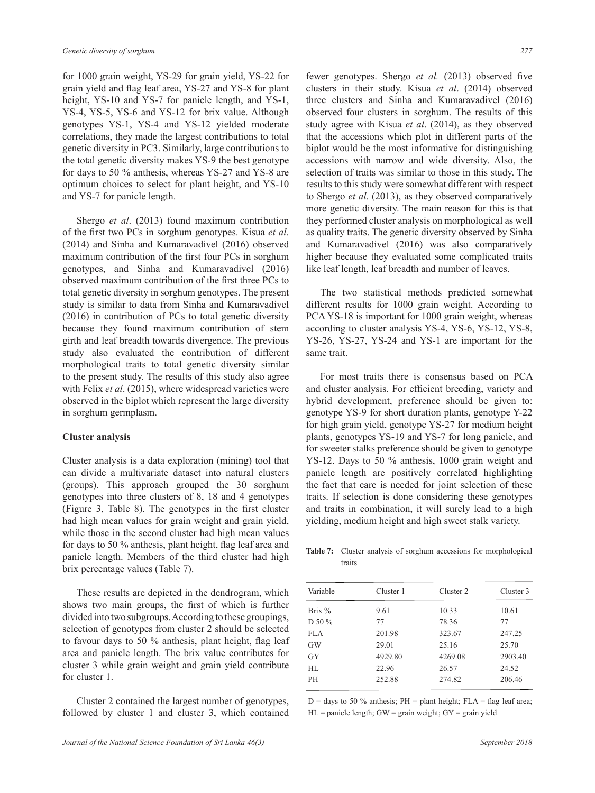for 1000 grain weight, YS-29 for grain yield, YS-22 for grain yield and flag leaf area, YS-27 and YS-8 for plant height, YS-10 and YS-7 for panicle length, and YS-1, YS-4, YS-5, YS-6 and YS-12 for brix value. Although genotypes YS-1, YS-4 and YS-12 yielded moderate correlations, they made the largest contributions to total genetic diversity in PC3. Similarly, large contributions to the total genetic diversity makes YS-9 the best genotype for days to 50 % anthesis, whereas YS-27 and YS-8 are optimum choices to select for plant height, and YS-10 and YS-7 for panicle length.

Shergo *et al*. (2013) found maximum contribution of the first two PCs in sorghum genotypes. Kisua *et al*. (2014) and Sinha and Kumaravadivel (2016) observed maximum contribution of the first four PCs in sorghum genotypes, and Sinha and Kumaravadivel (2016) observed maximum contribution of the first three PCs to total genetic diversity in sorghum genotypes. The present study is similar to data from Sinha and Kumaravadivel (2016) in contribution of PCs to total genetic diversity because they found maximum contribution of stem girth and leaf breadth towards divergence. The previous study also evaluated the contribution of different morphological traits to total genetic diversity similar to the present study. The results of this study also agree with Felix *et al.* (2015), where widespread varieties were observed in the biplot which represent the large diversity in sorghum germplasm.

#### **Cluster analysis**

Cluster analysis is a data exploration (mining) tool that can divide a multivariate dataset into natural clusters (groups). This approach grouped the 30 sorghum genotypes into three clusters of 8, 18 and 4 genotypes (Figure 3, Table 8). The genotypes in the first cluster had high mean values for grain weight and grain yield, while those in the second cluster had high mean values for days to 50 % anthesis, plant height, flag leaf area and panicle length. Members of the third cluster had high brix percentage values (Table 7).

These results are depicted in the dendrogram, which shows two main groups, the first of which is further divided into two subgroups. According to these groupings, selection of genotypes from cluster 2 should be selected to favour days to 50 % anthesis, plant height, flag leaf area and panicle length. The brix value contributes for cluster 3 while grain weight and grain yield contribute for cluster 1.

Cluster 2 contained the largest number of genotypes, followed by cluster 1 and cluster 3, which contained

fewer genotypes. Shergo *et al.* (2013) observed five clusters in their study. Kisua *et al*. (2014) observed three clusters and Sinha and Kumaravadivel (2016) observed four clusters in sorghum. The results of this study agree with Kisua *et al*. (2014), as they observed that the accessions which plot in different parts of the biplot would be the most informative for distinguishing accessions with narrow and wide diversity. Also, the selection of traits was similar to those in this study. The results to this study were somewhat different with respect to Shergo *et al*. (2013), as they observed comparatively more genetic diversity. The main reason for this is that they performed cluster analysis on morphological as well as quality traits. The genetic diversity observed by Sinha and Kumaravadivel (2016) was also comparatively higher because they evaluated some complicated traits like leaf length, leaf breadth and number of leaves.

The two statistical methods predicted somewhat different results for 1000 grain weight. According to PCA YS-18 is important for 1000 grain weight, whereas according to cluster analysis YS-4, YS-6, YS-12, YS-8, YS-26, YS-27, YS-24 and YS-1 are important for the same trait.

For most traits there is consensus based on PCA and cluster analysis. For efficient breeding, variety and hybrid development, preference should be given to: genotype YS-9 for short duration plants, genotype Y-22 for high grain yield, genotype YS-27 for medium height plants, genotypes YS-19 and YS-7 for long panicle, and for sweeter stalks preference should be given to genotype YS-12. Days to 50 % anthesis, 1000 grain weight and panicle length are positively correlated highlighting the fact that care is needed for joint selection of these traits. If selection is done considering these genotypes and traits in combination, it will surely lead to a high yielding, medium height and high sweet stalk variety.

**Table 7:** Cluster analysis of sorghum accessions for morphological traits

| Variable  | Cluster 1 | Cluster 2 | Cluster 3 |
|-----------|-----------|-----------|-----------|
| Brix $%$  | 9.61      | 10.33     | 10.61     |
| D 50 %    | 77        | 78.36     | 77        |
| FLA       | 201.98    | 323.67    | 247.25    |
| <b>GW</b> | 29.01     | 25.16     | 25.70     |
| <b>GY</b> | 4929.80   | 4269.08   | 2903.40   |
| HL.       | 22.96     | 26.57     | 24.52     |
| PН        | 252.88    | 274.82    | 206.46    |
|           |           |           |           |

 $D =$  days to 50 % anthesis; PH = plant height; FLA = flag leaf area;  $HL =$  panicle length;  $GW =$  grain weight;  $GY =$  grain yield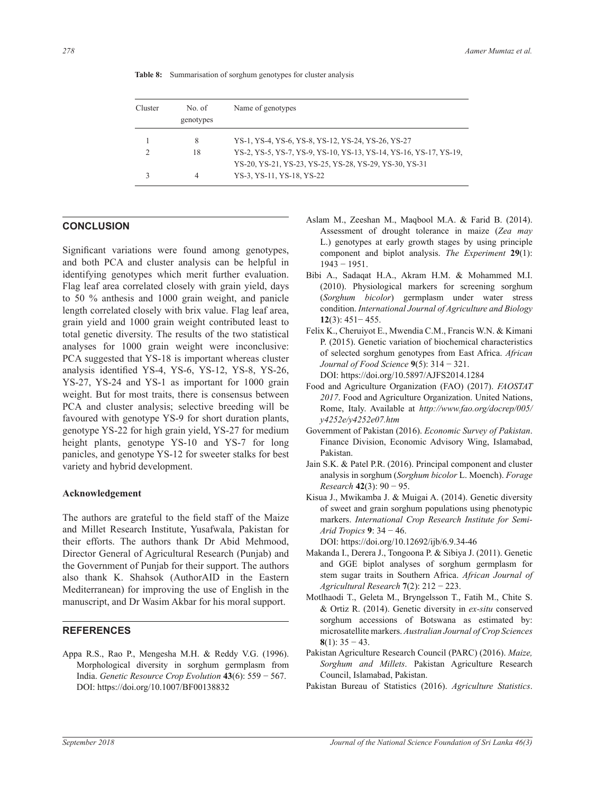| Cluster | No. of<br>genotypes | Name of genotypes                                                                                                           |
|---------|---------------------|-----------------------------------------------------------------------------------------------------------------------------|
|         | 8                   | YS-1, YS-4, YS-6, YS-8, YS-12, YS-24, YS-26, YS-27                                                                          |
| ∍       | 18                  | YS-2, YS-5, YS-7, YS-9, YS-10, YS-13, YS-14, YS-16, YS-17, YS-19,<br>YS-20, YS-21, YS-23, YS-25, YS-28, YS-29, YS-30, YS-31 |
|         | 4                   | YS-3, YS-11, YS-18, YS-22                                                                                                   |

**Table 8:** Summarisation of sorghum genotypes for cluster analysis

#### **CONCLUSION**

Significant variations were found among genotypes, and both PCA and cluster analysis can be helpful in identifying genotypes which merit further evaluation. Flag leaf area correlated closely with grain yield, days to 50 % anthesis and 1000 grain weight, and panicle length correlated closely with brix value. Flag leaf area, grain yield and 1000 grain weight contributed least to total genetic diversity. The results of the two statistical analyses for 1000 grain weight were inconclusive: PCA suggested that YS-18 is important whereas cluster analysis identified YS-4, YS-6, YS-12, YS-8, YS-26, YS-27, YS-24 and YS-1 as important for 1000 grain weight. But for most traits, there is consensus between PCA and cluster analysis; selective breeding will be favoured with genotype YS-9 for short duration plants, genotype YS-22 for high grain yield, YS-27 for medium height plants, genotype YS-10 and YS-7 for long panicles, and genotype YS-12 for sweeter stalks for best variety and hybrid development.

#### **Acknowledgement**

The authors are grateful to the field staff of the Maize and Millet Research Institute, Yusafwala, Pakistan for their efforts. The authors thank Dr Abid Mehmood, Director General of Agricultural Research (Punjab) and the Government of Punjab for their support. The authors also thank K. Shahsok (AuthorAID in the Eastern Mediterranean) for improving the use of English in the manuscript, and Dr Wasim Akbar for his moral support.

### **REFERENCES**

Appa R.S., Rao P., Mengesha M.H. & Reddy V.G. (1996). Morphological diversity in sorghum germplasm from India. *Genetic Resource Crop Evolution* **43**(6): 559 − 567. DOI: https://doi.org/10.1007/BF00138832

- Aslam M., Zeeshan M., Maqbool M.A. & Farid B. (2014). Assessment of drought tolerance in maize (*Zea may* L.) genotypes at early growth stages by using principle component and biplot analysis. *The Experiment* **29**(1): 1943 − 1951.
- Bibi A., Sadaqat H.A., Akram H.M. & Mohammed M.I. (2010). Physiological markers for screening sorghum (*Sorghum bicolor*) germplasm under water stress condition. *International Journal of Agriculture and Biology* **12**(3): 451− 455.
- Felix K., Cheruiyot E., Mwendia C.M., Francis W.N. & Kimani P. (2015). Genetic variation of biochemical characteristics of selected sorghum genotypes from East Africa. *African Journal of Food Science* **9**(5): 314 − 321. DOI: https://doi.org/10.5897/AJFS2014.1284
- Food and Agriculture Organization (FAO) (2017). *FAOSTAT 2017*. Food and Agriculture Organization. United Nations, Rome, Italy. Available at *http://www.fao.org/docrep/005/ y4252e/y4252e07.htm*
- Government of Pakistan (2016). *Economic Survey of Pakistan*. Finance Division, Economic Advisory Wing, Islamabad, Pakistan.
- Jain S.K. & Patel P.R. (2016). Principal component and cluster analysis in sorghum (*Sorghum bicolor* L. Moench). *Forage Research* **42**(3): 90 − 95.
- Kisua J., Mwikamba J. & Muigai A. (2014). Genetic diversity of sweet and grain sorghum populations using phenotypic markers. *International Crop Research Institute for Semi-Arid Tropics* **9**: 34 − 46.
	- DOI: https://doi.org/10.12692/ijb/6.9.34-46
- Makanda I., Derera J., Tongoona P. & Sibiya J. (2011). Genetic and GGE biplot analyses of sorghum germplasm for stem sugar traits in Southern Africa. *African Journal of Agricultural Research* **7**(2): 212 − 223.
- Motlhaodi T., Geleta M., Bryngelsson T., Fatih M., Chite S. & Ortiz R. (2014). Genetic diversity in *ex-situ* conserved sorghum accessions of Botswana as estimated by: microsatellite markers. *Australian Journal of Crop Sciences* **8**(1): 35 − 43.
- Pakistan Agriculture Research Council (PARC) (2016). *Maize, Sorghum and Millets*. Pakistan Agriculture Research Council, Islamabad, Pakistan.
- Pakistan Bureau of Statistics (2016). *Agriculture Statistics*.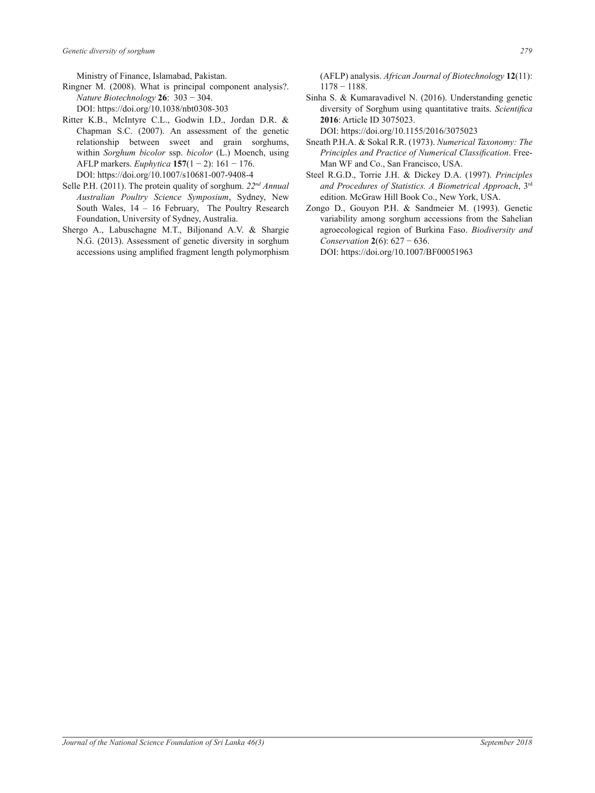Ministry of Finance, Islamabad, Pakistan.

- Ringner M. (2008). What is principal component analysis?. *Nature Biotechnology* **26**: 303 − 304. DOI: https://doi.org/10.1038/nbt0308-303
- Ritter K.B., McIntyre C.L., Godwin I.D., Jordan D.R. & Chapman S.C. (2007). An assessment of the genetic relationship between sweet and grain sorghums, within *Sorghum bicolor* ssp. *bicolor* (L.) Moench, using AFLP markers. *Euphytica* **157**(1 − 2): 161 − 176. DOI: https://doi.org/10.1007/s10681-007-9408-4
- Selle P.H. (2011). The protein quality of sorghum. *22nd Annual Australian Poultry Science Symposium*, Sydney, New South Wales, 14 – 16 February, The Poultry Research Foundation, University of Sydney, Australia.
- Shergo A., Labuschagne M.T., Biljonand A.V. & Shargie N.G. (2013). Assessment of genetic diversity in sorghum accessions using amplified fragment length polymorphism

(AFLP) analysis. *African Journal of Biotechnology* **12**(11): 1178 − 1188.

Sinha S. & Kumaravadivel N. (2016). Understanding genetic diversity of Sorghum using quantitative traits. *Scientifica*  **2016**: Article ID 3075023.

DOI: https://doi.org/10.1155/2016/3075023

- Sneath P.H.A. & Sokal R.R. (1973). *Numerical Taxonomy: The Principles and Practice of Numerical Classification*. Free-Man WF and Co., San Francisco, USA.
- Steel R.G.D., Torrie J.H. & Dickey D.A. (1997). *Principles and Procedures of Statistics. A Biometrical Approach*, 3rd edition. McGraw Hill Book Co., New York, USA.
- Zongo D., Gouyon P.H. & Sandmeier M. (1993). Genetic variability among sorghum accessions from the Sahelian agroecological region of Burkina Faso. *Biodiversity and Conservation* **2**(6): 627 − 636.

DOI: https://doi.org/10.1007/BF00051963